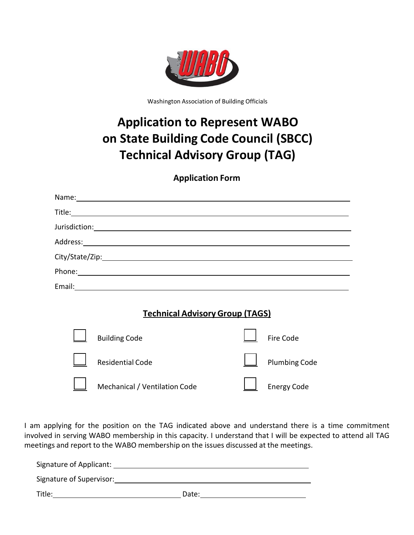

Washington Association of Building Officials

# **Application to Represent WABO on State Building Code Council (SBCC) Technical Advisory Group (TAG)**

#### **Application Form**

|                                        | Name: Name and the second state of the second state of the second state of the second state of the second state of the second state of the second state of the second state of the second state of the second state of the sec |  |                      |  |  |
|----------------------------------------|--------------------------------------------------------------------------------------------------------------------------------------------------------------------------------------------------------------------------------|--|----------------------|--|--|
|                                        |                                                                                                                                                                                                                                |  |                      |  |  |
|                                        |                                                                                                                                                                                                                                |  |                      |  |  |
|                                        |                                                                                                                                                                                                                                |  |                      |  |  |
|                                        |                                                                                                                                                                                                                                |  |                      |  |  |
|                                        |                                                                                                                                                                                                                                |  |                      |  |  |
|                                        |                                                                                                                                                                                                                                |  |                      |  |  |
|                                        |                                                                                                                                                                                                                                |  |                      |  |  |
| <b>Technical Advisory Group (TAGS)</b> |                                                                                                                                                                                                                                |  |                      |  |  |
|                                        | <b>Building Code</b>                                                                                                                                                                                                           |  | Fire Code            |  |  |
|                                        | <b>Residential Code</b>                                                                                                                                                                                                        |  | <b>Plumbing Code</b> |  |  |
|                                        |                                                                                                                                                                                                                                |  |                      |  |  |

I am applying for the position on the TAG indicated above and understand there is a time commitment involved in serving WABO membership in this capacity. I understand that I will be expected to attend all TAG meetings and report to the WABO membership on the issues discussed at the meetings.

Mechanical / Ventilation Code  $\Box$  Energy Code

| Signature of Applicant:  |       |  |
|--------------------------|-------|--|
| Signature of Supervisor: |       |  |
| Title:                   | Date: |  |

 $\blacksquare$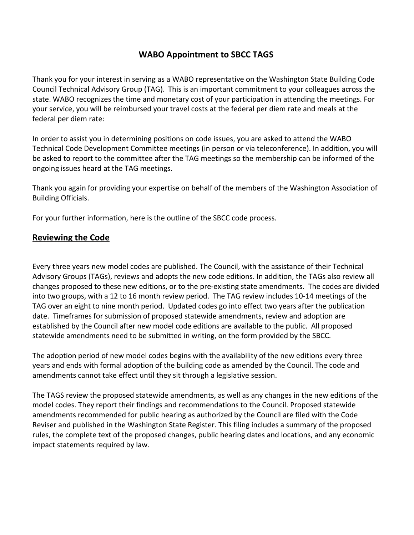### **WABO Appointment to SBCC TAGS**

Thank you for your interest in serving as a WABO representative on the Washington State Building Code Council Technical Advisory Group (TAG). This is an important commitment to your colleagues across the state. WABO recognizes the time and monetary cost of your participation in attending the meetings. For your service, you will be reimbursed your travel costs at the federal per diem rate and meals at the federal per diem rate:

In order to assist you in determining positions on code issues, you are asked to attend the WABO Technical Code Development Committee meetings (in person or via teleconference). In addition, you will be asked to report to the committee after the TAG meetings so the membership can be informed of the ongoing issues heard at the TAG meetings.

Thank you again for providing your expertise on behalf of the members of the Washington Association of Building Officials.

For your further information, here is the outline of the SBCC code process.

#### **Reviewing the Code**

Every three years new model codes are published. The Council, with the assistance of their Technical Advisory Groups (TAGs), reviews and adopts the new code editions. In addition, the TAGs also review all changes proposed to these new editions, or to the pre‐existing state amendments. The codes are divided into two groups, with a 12 to 16 month review period. The TAG review includes 10-14 meetings of the TAG over an eight to nine month period. Updated codes go into effect two years after the publication date. Timeframes for submission of proposed statewide amendments, review and adoption are established by the Council after new model code editions are available to the public. All proposed statewide amendments need to be submitted in writing, on the form provided by the SBCC.

The adoption period of new model codes begins with the availability of the new editions every three years and ends with formal adoption of the building code as amended by the Council. The code and amendments cannot take effect until they sit through a legislative session.

The TAGS review the proposed statewide amendments, as well as any changes in the new editions of the model codes. They report their findings and recommendations to the Council. Proposed statewide amendments recommended for public hearing as authorized by the Council are filed with the Code Reviser and published in the Washington State Register. This filing includes a summary of the proposed rules, the complete text of the proposed changes, public hearing dates and locations, and any economic impact statements required by law.